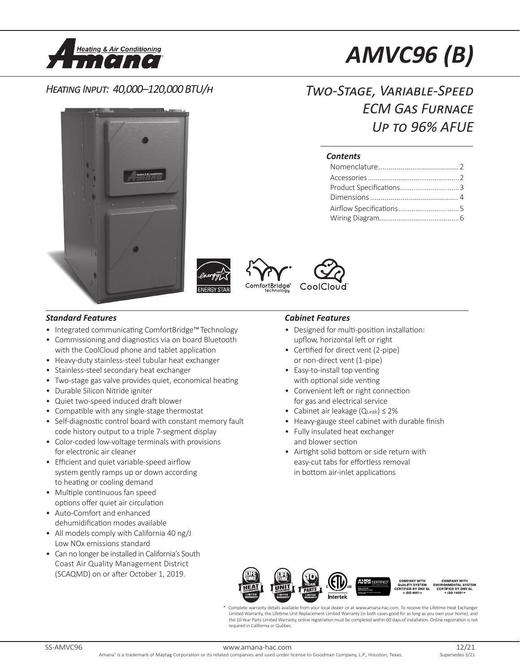

# *AMVC96 (B)*

*ECM Gas Furnace*

*Up to 96% AFUE*

*Two-Stage, Variable-Speed* 

Nomenclature........................................ 2 Accessories................................................2 Product Specifications...............................3 Dimensions............................................ 4 Airflow Specifications................................5 Wiring Diagram..........................................6

# *Heating Input: 40,000–120,000 BTU/h*







### *Standard Features Cabinet Features*

- Integrated communicating ComfortBridge™Technology
- Commissioning and diagnostics via on board Bluetooth with the CoolCloud phone and tablet application
- Heavy-duty stainless-steel tubular heat exchanger
- Stainless-steel secondary heat exchanger
- Two-stage gas valve provides quiet, economical heating
- Durable Silicon Nitride igniter
- Quiet two-speed induced draft blower
- Compatible with any single-stage thermostat
- Self-diagnostic control board with constant memory fault code history output to a triple 7-segment display
- Color-coded low-voltage terminals with provisions for electronic air cleaner
- Efficient and quiet variable-speed airflow system gently ramps up or down according to heating or cooling demand
- Multiple continuous fan speed options offer quiet air circulation
- Auto-Comfort and enhanced dehumidification modes available
- All models comply with California 40 ng/J Low NOx emissions standard
- Can no longer be installed in California's South Coast Air Quality Management District (SCAQMD) on or after October 1, 2019.

- Designed for multi-position installation: upflow, horizontal left or right
- Certified for direct vent (2-pipe) or non-direct vent (1-pipe)

*Contents*

- Easy-to-install top venting with optional side venting
- Convenient left or right connection for gas and electrical service
- Cabinet air leakage (QLeak) ≤ 2%
- Heavy-gauge steel cabinet with durable finish
- Fully insulated heat exchanger and blower section
- Airtight solid bottom or side return with easy-cut tabs for effortless removal in bottom air-inlet applications



Complete warranty details available from your local dealer or at www.amana-hac.com. To receive the Lifetime Heat Exchanger Limited Warranty, the Lifetime Unit Replacement Limited Warranty (in both cases good for as long as you own your home), and the 10-Year Parts Limited Warranty, online registration must be completedwithin 60 days of installation. Online registration is not required in California or Québec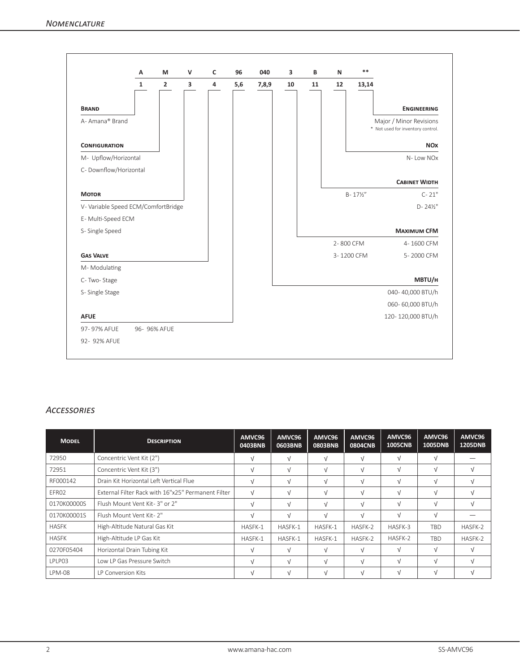|                                     | Α            | M              | $\mathsf{V}$ | c | 96  | 040   | 3  | B  | N          | $**$                |                                                              |
|-------------------------------------|--------------|----------------|--------------|---|-----|-------|----|----|------------|---------------------|--------------------------------------------------------------|
|                                     | $\mathbf{1}$ | $\overline{2}$ | 3            | 4 | 5,6 | 7,8,9 | 10 | 11 | 12         | 13,14               |                                                              |
| <b>BRAND</b>                        |              |                |              |   |     |       |    |    |            |                     | <b>ENGINEERING</b>                                           |
| A-Amana® Brand                      |              |                |              |   |     |       |    |    |            |                     | Major / Minor Revisions<br>* Not used for inventory control. |
| <b>CONFIGURATION</b>                |              |                |              |   |     |       |    |    |            |                     | <b>NO<sub>X</sub></b>                                        |
| M- Upflow/Horizontal                |              |                |              |   |     |       |    |    |            |                     | N-Low NOx                                                    |
| C- Downflow/Horizontal              |              |                |              |   |     |       |    |    |            |                     |                                                              |
|                                     |              |                |              |   |     |       |    |    |            |                     | <b>CABINET WIDTH</b>                                         |
| <b>MOTOR</b>                        |              |                |              |   |     |       |    |    |            | $B - 17\frac{1}{2}$ | $C - 21"$                                                    |
| V- Variable Speed ECM/ComfortBridge |              |                |              |   |     |       |    |    |            |                     | $D - 24\frac{1}{2}$ "                                        |
| E-Multi-Speed ECM                   |              |                |              |   |     |       |    |    |            |                     |                                                              |
| S- Single Speed                     |              |                |              |   |     |       |    |    |            |                     | <b>MAXIMUM CFM</b>                                           |
|                                     |              |                |              |   |     |       |    |    | 2-800 CFM  |                     | 4-1600 CFM                                                   |
| <b>GAS VALVE</b>                    |              |                |              |   |     |       |    |    | 3-1200 CFM |                     | 5-2000 CFM                                                   |
| M-Modulating                        |              |                |              |   |     |       |    |    |            |                     |                                                              |
| C-Two-Stage                         |              |                |              |   |     |       |    |    |            |                     | MBTU/H                                                       |
| S-Single Stage                      |              |                |              |   |     |       |    |    |            |                     | 040-40,000 BTU/h                                             |
|                                     |              |                |              |   |     |       |    |    |            |                     | 060-60,000 BTU/h                                             |
| <b>AFUE</b>                         |              |                |              |   |     |       |    |    |            |                     | 120-120,000 BTU/h                                            |
| 97-97% AFUE                         |              | 96- 96% AFUE   |              |   |     |       |    |    |            |                     |                                                              |
| 92- 92% AFUE                        |              |                |              |   |     |       |    |    |            |                     |                                                              |

# *Accessories*

| <b>MODEL</b>  | <b>DESCRIPTION</b>                                 | AMVC96<br>0403BNB | AMVC96<br>0603BNB | AMVC96<br><b>0803BNB</b> | AMVC96<br>0804CNB | AMVC96<br><b>1005CNB</b> | AMVC96<br>1005DNB | AMVC96<br><b>1205DNB</b> |
|---------------|----------------------------------------------------|-------------------|-------------------|--------------------------|-------------------|--------------------------|-------------------|--------------------------|
| 72950         | Concentric Vent Kit (2")                           | $\sqrt{ }$        | $\sqrt{ }$        |                          | M                 | $\sqrt{ }$               | $\sqrt{ }$        |                          |
| 72951         | Concentric Vent Kit (3")                           | $\sqrt{ }$        | $\sqrt{ }$        |                          | $\sqrt{}$         | $\sqrt{ }$               | $\sqrt{ }$        | $\sqrt{ }$               |
| RF000142      | Drain Kit Horizontal Left Vertical Flue            | $\sqrt{ }$        | $\sqrt{ }$        |                          | $\sqrt{}$         | $\sqrt{ }$               | $\sqrt{ }$        | $\sqrt{ }$               |
| EFR02         | External Filter Rack with 16"x25" Permanent Filter | $\sqrt{ }$        | $\sqrt{ }$        | $\sqrt{ }$               | $\sqrt{ }$        | $\sqrt{ }$               | $\sqrt{ }$        | $\sqrt{ }$               |
| 0170K00000S   | Flush Mount Vent Kit-3" or 2"                      | $\sqrt{ }$        | $\sqrt{ }$        |                          | λI                | $\sqrt{ }$               | $\sqrt{ }$        | $\sqrt{ }$               |
| 0170K00001S   | Flush Mount Vent Kit- 2"                           | $\sqrt{ }$        | $\sqrt{ }$        |                          | $\sqrt{}$         | $\sqrt{ }$               | $\sqrt{ }$        |                          |
| <b>HASFK</b>  | High-Altitude Natural Gas Kit                      | HASFK-1           | HASFK-1           | HASFK-1                  | HASFK-2           | HASFK-3                  | <b>TBD</b>        | HASFK-2                  |
| <b>HASFK</b>  | High-Altitude LP Gas Kit                           | HASFK-1           | HASFK-1           | HASFK-1                  | HASFK-2           | HASFK-2                  | <b>TBD</b>        | HASFK-2                  |
| 0270F05404    | Horizontal Drain Tubing Kit                        | $\sqrt{ }$        | $\sqrt{ }$        |                          |                   |                          | $\sqrt{ }$        | V                        |
| LPLP03        | Low LP Gas Pressure Switch                         | $\sqrt{ }$        | $\sqrt{ }$        |                          | $\sqrt{}$         | $\sqrt{ }$               | $\sqrt{ }$        | $\sqrt{ }$               |
| <b>LPM-08</b> | LP Conversion Kits                                 | $\sqrt{ }$        | $\sqrt{ }$        |                          | V                 | $\sqrt{ }$               | $\sqrt{ }$        | $\sqrt{ }$               |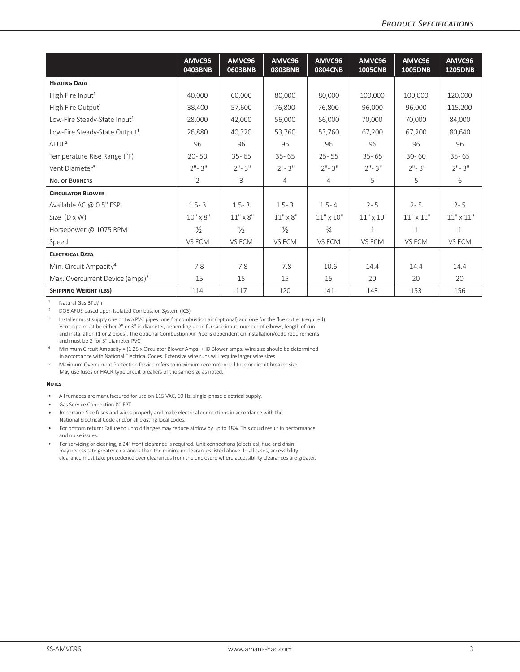|                                             | AMVC96<br>0403BNB | AMVC96<br>0603BNB | AMVC96<br><b>0803BNB</b> | AMVC96<br><b>0804CNB</b> | AMVC96<br><b>1005CNB</b> | AMVC96<br>1005DNB | AMVC96<br><b>1205DNB</b> |
|---------------------------------------------|-------------------|-------------------|--------------------------|--------------------------|--------------------------|-------------------|--------------------------|
| <b>HEATING DATA</b>                         |                   |                   |                          |                          |                          |                   |                          |
| High Fire Input <sup>1</sup>                | 40,000            | 60.000            | 80,000                   | 80,000                   | 100,000                  | 100,000           | 120,000                  |
| High Fire Output <sup>1</sup>               | 38,400            | 57.600            | 76.800                   | 76,800                   | 96.000                   | 96.000            | 115,200                  |
| Low-Fire Steady-State Input <sup>1</sup>    | 28,000            | 42.000            | 56.000                   | 56.000                   | 70,000                   | 70,000            | 84,000                   |
| Low-Fire Steady-State Output <sup>1</sup>   | 26.880            | 40.320            | 53.760                   | 53.760                   | 67,200                   | 67.200            | 80,640                   |
| AFUE <sup>2</sup>                           | 96                | 96                | 96                       | 96                       | 96                       | 96                | 96                       |
| Temperature Rise Range (°F)                 | $20 - 50$         | $35 - 65$         | $35 - 65$                | $25 - 55$                | $35 - 65$                | $30 - 60$         | $35 - 65$                |
| Vent Diameter <sup>3</sup>                  | $2" - 3"$         | $2" - 3"$         | $2" - 3"$                | $2" - 3"$                | $2" - 3"$                | $2" - 3"$         | $2" - 3"$                |
| NO. OF BURNERS                              | $\overline{2}$    | 3                 | 4                        | 4                        | 5.                       | 5                 | 6                        |
| <b>CIRCULATOR BLOWER</b>                    |                   |                   |                          |                          |                          |                   |                          |
| Available AC $\omega$ 0.5" ESP              | $1.5 - 3$         | $1.5 - 3$         | $1.5 - 3$                | $1.5 - 4$                | $2 - 5$                  | $2 - 5$           | $2 - 5$                  |
| Size $(D \times W)$                         | $10'' \times 8''$ | $11" \times 8"$   | $11" \times 8"$          | $11" \times 10"$         | $11" \times 10"$         | $11" \times 11"$  | $11" \times 11"$         |
| Horsepower @ 1075 RPM                       | $\frac{1}{2}$     | $\frac{1}{2}$     | $\frac{1}{2}$            | $\frac{3}{4}$            | $\mathbf{1}$             | $\mathbf{1}$      | $\mathbf{1}$             |
| Speed                                       | VS ECM            | VS ECM            | VS ECM                   | VS ECM                   | VS ECM                   | VS ECM            | VS ECM                   |
| <b>ELECTRICAL DATA</b>                      |                   |                   |                          |                          |                          |                   |                          |
| Min. Circuit Ampacity <sup>4</sup>          | 7.8               | 7.8               | 7.8                      | 10.6                     | 14.4                     | 14.4              | 14.4                     |
| Max. Overcurrent Device (amps) <sup>5</sup> | 15                | 15                | 15                       | 15                       | 20                       | 20                | 20                       |
| <b>SHIPPING WEIGHT (LBS)</b>                | 114               | 117               | 120                      | 141                      | 143                      | 153               | 156                      |

<sup>1</sup> Natural Gas BTU/h

<sup>2</sup> DOE AFUE based upon Isolated Combustion System (ICS)<sup>3</sup> Installer must supply one or two PVC pipes: one for comb

Minimum Circuit Ampacity = (1.25 x Circulator Blower Amps) + ID Blower amps. Wire size should be determined in accordance with National Electrical Codes. Extensive wire runs will require larger wire sizes.

<sup>5</sup> Maximum Overcurrent Protection Device refers to maximum recommended fuse or circuit breaker size. May use fuses or HACR-type circuit breakers of the same size as noted.

#### **Notes**

- All furnaces are manufactured for use on 115 VAC, 60 Hz, single-phase electrical supply.
- Gas Service Connection ½" FPT
- Important: Size fuses and wires properly and make electrical connections in accordance with the National Electrical Code and/or all existing local codes.
- For bottom return: Failure to unfold flanges may reduce airflow by up to 18%. This could result in performance and noise issues.
- For servicing or cleaning, a 24" front clearance is required. Unit connections (electrical, flue and drain) may necessitate greater clearances than the minimum clearances listed above. In all cases, accessibility clearance must take precedence over clearances from the enclosure where accessibility clearances are greater.

Installer must supply one or two PVC pipes: one for combustion air (optional) and one for the flue outlet (required). Vent pipe must be either 2" or 3" in diameter, depending upon furnace input, number of elbows, length of run and installation (1 or 2 pipes). The optional Combustion Air Pipe is dependent on installation/code requirements and must be 2" or 3" diameter PVC.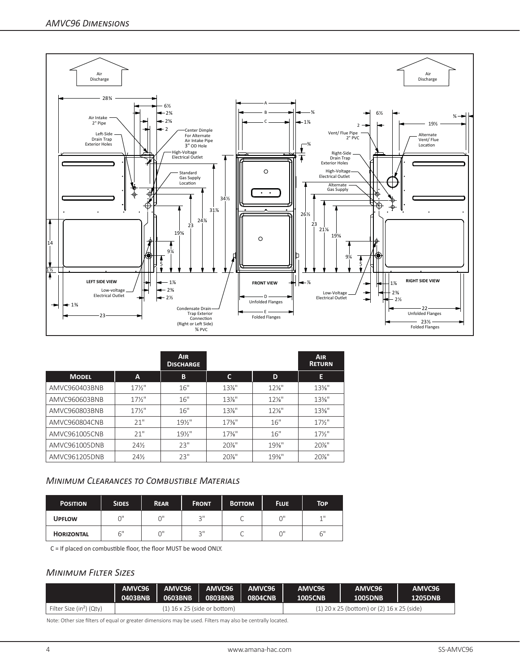

|               |                 | <b>AIR</b><br><b>DISCHARGE</b> |                   |          | <b>AIR</b><br><b>RETURN</b> |
|---------------|-----------------|--------------------------------|-------------------|----------|-----------------------------|
| <b>MODEL</b>  | A               | B                              | C                 | D        | E                           |
| AMVC960403BNB | $17\frac{1}{2}$ | 16"                            | $13\%$ "          | $12\%$ " | $13\%$ "                    |
| AMVC960603BNB | $17\frac{1}{2}$ | 16"                            | $13\%$ "          | $12\%$ " | $13\%$ "                    |
| AMVC960803BNB | $17\frac{1}{2}$ | 16"                            | $13\%$ "          | $12\%$ " | $13\%$ "                    |
| AMVC960804CNB | 21"             | $19\%$ "                       | $17\frac{3}{8}$ " | 16"      | $17\frac{1}{2}$             |
| AMVC961005CNB | 21"             | $19\%$ "                       | $17\frac{3}{8}$ " | 16"      | $17\frac{1}{2}$             |
| AMVC961005DNB | 24%             | 23"                            | $20\%$ "          | $19\%$ " | $20\%$ "                    |
| AMVC961205DNB | 24%             | 23"                            | $20\%$ "          | $19%$ "  | $20\%$ "                    |

## *Minimum Clearances to Combustible Materials*

| <b>POSITION</b>   | <b>SIDES</b> | <b>REAR</b> | <b>FRONT</b> | <b>BOTTOM</b> | <b>FLUE</b> | Тор |
|-------------------|--------------|-------------|--------------|---------------|-------------|-----|
| <b>UPFLOW</b>     | ∩"           | ωı          | ייכ          |               | $\bigcap$ " | 11  |
| <b>HORIZONTAL</b> | 6"           |             | ا 2          |               | 0"          | 6"  |

C = If placed on combustible floor, the floor MUST be wood ONLY.

# *Minimum Filter Sizes*

|                                      | AMVC96  | AMVC96                         | AMVC96  | AMVC96  | AMVC96         | AMVC96                                       | AMVC96         |
|--------------------------------------|---------|--------------------------------|---------|---------|----------------|----------------------------------------------|----------------|
|                                      | 0403BNB | 0603BNB                        | 0803BNB | 0804CNB | <b>1005CNB</b> | <b>1005DNB</b>                               | <b>1205DNB</b> |
| Filter Size (in <sup>2</sup> ) (Qty) |         | $(1)$ 16 x 25 (side or bottom) |         |         |                | $(1)$ 20 x 25 (bottom) or (2) 16 x 25 (side) |                |

Note: Other size filters of equal or greater dimensions may be used. Filters may also be centrally located.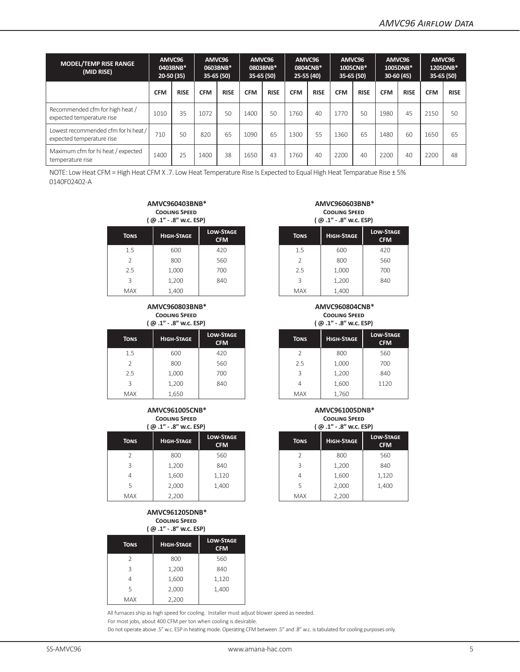| <b>MODEL/TEMP RISE RANGE</b><br>(MID RISE)                        | AMVC96<br>20-50 (35) | 0403BNB*    | AMVC96<br>35-65 (50) | 0603BNB*    | AMVC96<br>$35-65(50)$ | 0803BNB*    | AMVC96<br>25-55 (40) | 0804CNB*    | AMVC96<br>$35-65(50)$ | 1005CNB*    | AMVC96<br>1005DNB*<br>30-60 (45) |             | AMVC96<br>1205DNB*<br>35-65 (50) |             |
|-------------------------------------------------------------------|----------------------|-------------|----------------------|-------------|-----------------------|-------------|----------------------|-------------|-----------------------|-------------|----------------------------------|-------------|----------------------------------|-------------|
|                                                                   | <b>CFM</b>           | <b>RISE</b> | <b>CFM</b>           | <b>RISE</b> | <b>CFM</b>            | <b>RISE</b> | <b>CFM</b>           | <b>RISE</b> | <b>CFM</b>            | <b>RISE</b> | <b>CFM</b>                       | <b>RISE</b> | <b>CFM</b>                       | <b>RISE</b> |
| Recommended cfm for high heat /<br>expected temperature rise      | 1010                 | 35          | 1072                 | 50          | 1400                  | 50          | 1760                 | 40          | 1770                  | 50          | 1980                             | 45          | 2150                             | 50          |
| Lowest recommended cfm for hi heat /<br>expected temperature rise | 710                  | 50          | 820                  | 65          | 1090                  | 65          | 1300                 | 55          | 1360                  | 65          | 1480                             | 60          | 1650                             | 65          |
| Maximum cfm for hi heat / expected<br>temperature rise            | 1400                 | 25          | 1400                 | 38          | 1650                  | 43          | 1760                 | 40          | 2200                  | 40          | 2200                             | 40          | 2200                             | 48          |

NOTE: Low Heat CFM = High Heat CFM X .7. Low Heat Temperature Rise Is Expected to Equal High Heat Temparatue Rise ± 5% 0140F02402-A

#### **AMVC960403BNB\* Cooling Speed ( @ .1" - .8" w.c. ESP)**

| $\sim$      | .                 |                                |             | $\sim$ $-$<br>.   |                      |  |
|-------------|-------------------|--------------------------------|-------------|-------------------|----------------------|--|
| <b>TONS</b> | <b>HIGH-STAGE</b> | <b>LOW-STAGE</b><br><b>CFM</b> | <b>TONS</b> | <b>HIGH-STAGE</b> | LOW-ST<br><b>CFN</b> |  |
| 1.5         | 600               | 420                            | 1.5         | 600               | 420                  |  |
| 2           | 800               | 560                            |             | 800               | 560                  |  |
| 2.5         | 1,000             | 700                            | 2.5         | 1,000             | 700                  |  |
| 3           | 1,200             | 840                            | 3           | 1,200             | 840                  |  |
| <b>MAX</b>  | 1,400             |                                | <b>MAX</b>  | 1,400             |                      |  |

#### **AMVC960803BNB\* Cooling Speed ( @ .1" - .8" w.c. ESP)**

|             | ן עש הטויש סויים ועשן |                                |             | ן עש הטויש סויד בוישון |                       |
|-------------|-----------------------|--------------------------------|-------------|------------------------|-----------------------|
| <b>TONS</b> | <b>HIGH-STAGE</b>     | <b>LOW-STAGE</b><br><b>CFM</b> | <b>TONS</b> | <b>HIGH-STAGE</b>      | LOW-ST/<br><b>CFM</b> |
| 1.5         | 600                   | 420                            |             | 800                    | 560                   |
| 2           | 800                   | 560                            | 2.5         | 1,000                  | 700                   |
| 2.5         | 1,000                 | 700                            | 3           | 1,200                  | 840                   |
| 3           | 1,200                 | 840                            | 4           | 1,600                  | 1120                  |
| <b>MAX</b>  | 1,650                 |                                | <b>MAX</b>  | 1,760                  |                       |

#### **AMVC961005CNB\* Cooling Speed ( @ .1" - .8" w.c. ESP)**

|             | -- - - ۱<br>.     |                                | $\cdots$    |                   |                       |  |  |
|-------------|-------------------|--------------------------------|-------------|-------------------|-----------------------|--|--|
| <b>TONS</b> | <b>HIGH-STAGE</b> | <b>LOW-STAGE</b><br><b>CFM</b> | <b>TONS</b> | <b>HIGH-STAGE</b> | LOW-STA<br><b>CFM</b> |  |  |
| 2           | 800               | 560                            |             | 800               | 560                   |  |  |
| 3           | 1,200             | 840                            | 3           | 1,200             | 840                   |  |  |
| 4           | 1,600             | 1,120                          | 4           | 1,600             | 1,120                 |  |  |
| 5           | 2,000             | 1,400                          | 5           | 2,000             | 1,400                 |  |  |
| <b>MAX</b>  | 2,200             |                                | <b>MAX</b>  | 2,200             |                       |  |  |

#### **AMVC961205DNB\* Cooling Speed ( @ .1" - .8" w.c. ESP)**

| . .           |                   |                                |  |  |  |  |  |
|---------------|-------------------|--------------------------------|--|--|--|--|--|
| <b>TONS</b>   | <b>HIGH-STAGE</b> | <b>LOW-STAGE</b><br><b>CFM</b> |  |  |  |  |  |
| $\mathcal{P}$ | 800               | 560                            |  |  |  |  |  |
| 3             | 1,200             | 840                            |  |  |  |  |  |
|               | 1,600             | 1,120                          |  |  |  |  |  |
| 5             | 2,000             | 1,400                          |  |  |  |  |  |
| <b>MAX</b>    | 2,200             |                                |  |  |  |  |  |

All furnaces ship as high speed for cooling. Installer must adjust blower speed as needed. For most jobs, about 400 CFM per ton when cooling is desirable.

Do not operate above .5" w.c. ESP in heating mode. Operating CFM between .5" and .8" w.c. is tabulated for cooling purposes only.

#### **AMVC960603BNB\* Cooling Speed ( @ .1" - .8" w.c. ESP)**

| N-STAGE<br><b>CFM</b> | <b>TONS</b>   | <b>HIGH-STAGE</b> | <b>LOW-STAGE</b><br><b>CFM</b> |
|-----------------------|---------------|-------------------|--------------------------------|
| 420                   | 1.5           | 600               | 420                            |
| 560                   | $\mathcal{P}$ | 800               | 560                            |
| 700                   | 2.5           | 1,000             | 700                            |
| 840                   | 3             | 1,200             | 840                            |
|                       | <b>MAX</b>    | 1,400             |                                |

#### **AMVC960804CNB\* Cooling Speed**

**( @ .1" - .8" w.c. ESP)**

| N-STAGE<br><b>CFM</b> | <b>TONS</b> | <b>HIGH-STAGE</b> | <b>LOW-STAGE</b><br><b>CFM</b> |
|-----------------------|-------------|-------------------|--------------------------------|
| 420                   |             | 800               | 560                            |
| 560                   | 2.5         | 1,000             | 700                            |
| 700                   | 3           | 1,200             | 840                            |
| 840                   | 4           | 1,600             | 1120                           |
|                       | <b>MAX</b>  | 1 760             |                                |

#### **AMVC961005DNB\* Cooling Speed ( @ .1" - .8" w.c. ESP)**

| N-STAGE<br><b>CFM</b> | <b>TONS</b>   | <b>HIGH-STAGE</b> | <b>LOW-STAGE</b><br><b>CFM</b> |
|-----------------------|---------------|-------------------|--------------------------------|
| 560                   | $\mathcal{P}$ | 800               | 560                            |
| 840                   | 3             | 1,200             | 840                            |
| l,120                 | 4             | 1,600             | 1,120                          |
| 1,400                 | 5             | 2,000             | 1,400                          |
|                       | <b>MAX</b>    | 2,200             |                                |